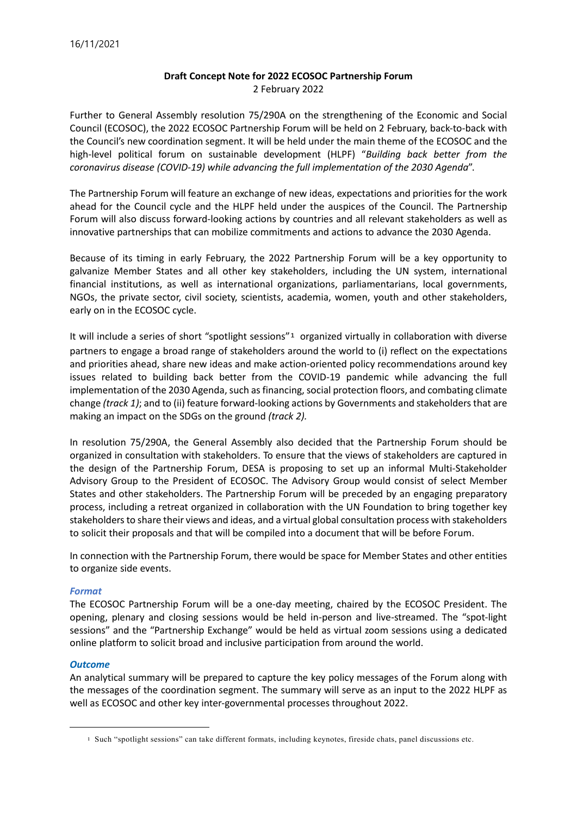## **Draft Concept Note for 2022 ECOSOC Partnership Forum** 2 February 2022

Further to General Assembly resolution 75/290A on the strengthening of the Economic and Social Council (ECOSOC), the 2022 ECOSOC Partnership Forum will be held on 2 February, back-to-back with the Council's new coordination segment. It will be held under the main theme of the ECOSOC and the high-level political forum on sustainable development (HLPF) "*Building back better from the coronavirus disease (COVID-19) while advancing the full implementation of the 2030 Agenda*".

The Partnership Forum will feature an exchange of new ideas, expectations and priorities for the work ahead for the Council cycle and the HLPF held under the auspices of the Council. The Partnership Forum will also discuss forward-looking actions by countries and all relevant stakeholders as well as innovative partnerships that can mobilize commitments and actions to advance the 2030 Agenda.

Because of its timing in early February, the 2022 Partnership Forum will be a key opportunity to galvanize Member States and all other key stakeholders, including the UN system, international financial institutions, as well as international organizations, parliamentarians, local governments, NGOs, the private sector, civil society, scientists, academia, women, youth and other stakeholders, early on in the ECOSOC cycle.

It will include a series of short "spotlight sessions"[1](#page-0-0) organized virtually in collaboration with diverse partners to engage a broad range of stakeholders around the world to (i) reflect on the expectations and priorities ahead, share new ideas and make action-oriented policy recommendations around key issues related to building back better from the COVID-19 pandemic while advancing the full implementation of the 2030 Agenda, such as financing, social protection floors, and combating climate change *(track 1)*; and to (ii) feature forward-looking actions by Governments and stakeholders that are making an impact on the SDGs on the ground *(track 2).*

In resolution 75/290A, the General Assembly also decided that the Partnership Forum should be organized in consultation with stakeholders. To ensure that the views of stakeholders are captured in the design of the Partnership Forum, DESA is proposing to set up an informal Multi-Stakeholder Advisory Group to the President of ECOSOC. The Advisory Group would consist of select Member States and other stakeholders. The Partnership Forum will be preceded by an engaging preparatory process, including a retreat organized in collaboration with the UN Foundation to bring together key stakeholders to share their views and ideas, and a virtual global consultation process with stakeholders to solicit their proposals and that will be compiled into a document that will be before Forum.

In connection with the Partnership Forum, there would be space for Member States and other entities to organize side events.

## *Format*

The ECOSOC Partnership Forum will be a one-day meeting, chaired by the ECOSOC President. The opening, plenary and closing sessions would be held in-person and live-streamed. The "spot-light sessions" and the "Partnership Exchange" would be held as virtual zoom sessions using a dedicated online platform to solicit broad and inclusive participation from around the world.

## *Outcome*

An analytical summary will be prepared to capture the key policy messages of the Forum along with the messages of the coordination segment. The summary will serve as an input to the 2022 HLPF as well as ECOSOC and other key inter-governmental processes throughout 2022.

<span id="page-0-0"></span><sup>1</sup> Such "spotlight sessions" can take different formats, including keynotes, fireside chats, panel discussions etc.